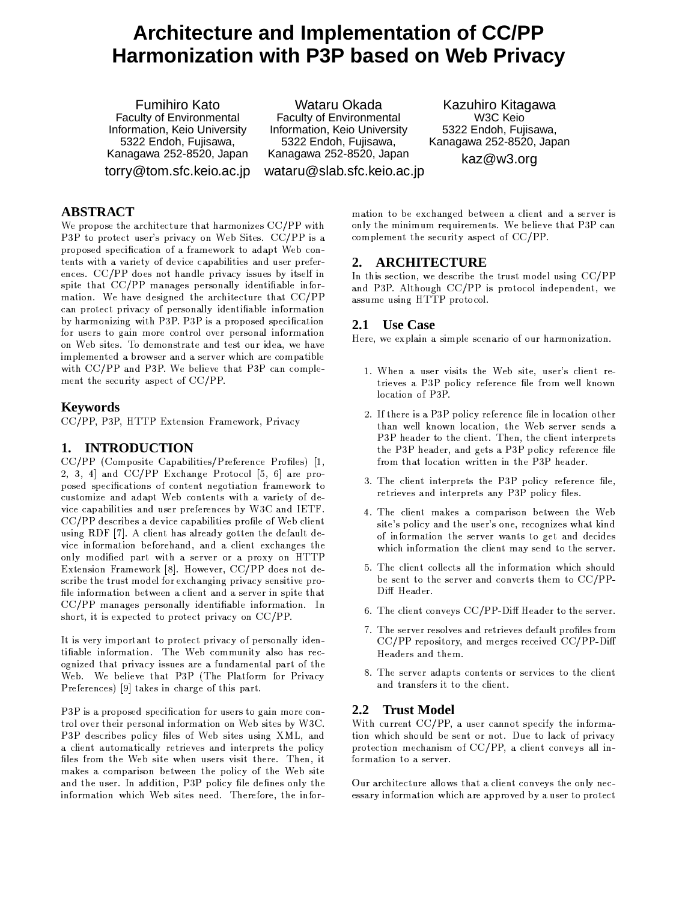# **Architecture and Implementation of CC/PP** Harmonization with P3P based on Web Privacy

**Fumihiro Kato** Faculty of Environmental Information, Keio University 5322 Endoh, Fujisawa, Kanagawa 252-8520, Japan torry@tom.sfc.keio.ac.jp

Wataru Okada Faculty of Environmental Information, Keio University 5322 Endoh, Fujisawa, Kanagawa 252-8520, Japan wataru@slab.sfc.keio.ac.jp

Kazuhiro Kitagawa W3C Keio 5322 Endoh, Fujisawa, Kanagawa 252-8520, Japan

kaz@w3.org

# **ABSTRACT**

We propose the architecture that harmonizes CC/PP with P3P to protect user's privacy on Web Sites. CC/PP is a proposed specification of a framework to adapt Web contents with a variety of device capabilities and user preferences. CC/PP does not handle privacy issues by itself in spite that CC/PP manages personally identifiable information. We have designed the architecture that CC/PP can protect privacy of personally identifiable information by harmonizing with P3P. P3P is a proposed specification for users to gain more control over personal information on Web sites. To demonstrate and test our idea, we have implemented a browser and a server which are compatible with CC/PP and P3P. We believe that P3P can complement the security aspect of  $CC/PP$ .

### **Keywords**

CC/PP, P3P, HTTP Extension Framework, Privacy

# 1. INTRODUCTION

CC/PP (Composite Capabilities/Preference Profiles) [1, 2, 3, 4] and CC/PP Exchange Protocol [5, 6] are proposed specifications of content negotiation framework to customize and adapt Web contents with a variety of device capabilities and user preferences by W3C and IETF. CC/PP describes a device capabilities profile of Web client using RDF [7]. A client has already gotten the default device information beforehand, and a client exchanges the only modified part with a server or a proxy on HTTP Extension Framework [8]. However, CC/PP does not describe the trust model for exchanging privacy sensitive profile information between a client and a server in spite that CC/PP manages personally identifiable information. In short, it is expected to protect privacy on CC/PP.

It is very important to protect privacy of personally identifiable information. The Web community also has recognized that privacy issues are a fundamental part of the Web. We believe that P3P (The Platform for Privacy Preferences) [9] takes in charge of this part.

P3P is a proposed specification for users to gain more control over their personal information on Web sites by W3C. P3P describes policy files of Web sites using XML, and a client automatically retrieves and interprets the policy files from the Web site when users visit there. Then, it makes a comparison between the policy of the Web site and the user. In addition, P3P policy file defines only the information which Web sites need. Therefore, the infor-

mation to be exchanged between a client and a server is only the minimum requirements. We believe that P3P can complement the security aspect of CC/PP.

### 2. ARCHITECTURE

In this section, we describe the trust model using CC/PP and P3P. Although CC/PP is protocol independent, we assume using HTTP protocol.

### 2.1 Use Case

Here, we explain a simple scenario of our harmonization.

- 1. When a user visits the Web site, user's client retrieves a P3P policy reference file from well known location of P3P.
- 2. If there is a P3P policy reference file in location other than well known location, the Web server sends a P3P header to the client. Then, the client interprets the P3P header, and gets a P3P policy reference file from that location written in the P3P header.
- 3. The client interprets the P3P policy reference file, retrieves and interprets any P3P policy files.
- 4. The client makes a comparison between the Web site's policy and the user's one, recognizes what kind of information the server wants to get and decides which information the client may send to the server.
- 5. The client collects all the information which should be sent to the server and converts them to CC/PP-Diff Header.
- 6. The client conveys CC/PP-Diff Header to the server.
- 7. The server resolves and retrieves default profiles from  $CC/PP$  repository, and merges received  $CC/PP-Diff$ Headers and them.
- 8. The server adapts contents or services to the client and transfers it to the client.

#### **Trust Model**  $2.2^{\circ}$

With current CC/PP, a user cannot specify the information which should be sent or not. Due to lack of privacy protection mechanism of CC/PP, a client conveys all information to a server.

Our architecture allows that a client conveys the only necessary information which are approved by a user to protect